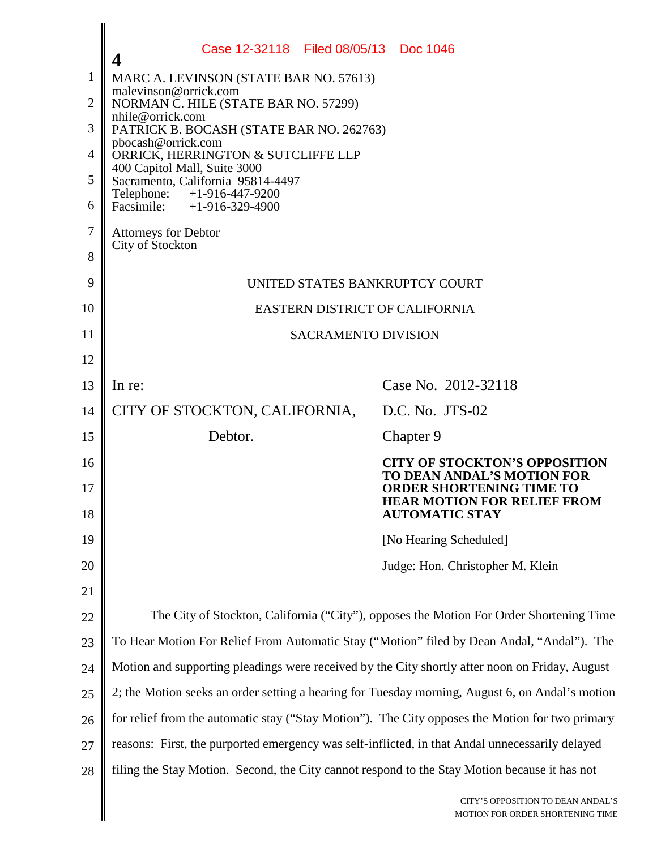|    | Case 12-32118 Filed 08/05/13 Doc 1046                                                           |                                                                       |  |
|----|-------------------------------------------------------------------------------------------------|-----------------------------------------------------------------------|--|
| 1  | MARC A. LEVINSON (STATE BAR NO. 57613)<br>malevinson@orrick.com                                 |                                                                       |  |
| 2  | NORMAN C. HILE (STATE BAR NO. 57299)<br>nhile@orrick.com                                        |                                                                       |  |
| 3  | PATRICK B. BOCASH (STATE BAR NO. 262763)<br>pbocash@orrick.com                                  |                                                                       |  |
| 4  | ORRICK, HERRINGTON & SUTCLIFFE LLP<br>400 Capitol Mall, Suite 3000                              |                                                                       |  |
| 5  | Sacramento, California 95814-4497<br>Telephone:<br>$+1 - 916 - 447 - 9200$                      |                                                                       |  |
| 6  | Facsimile: $+1-916-329-4900$                                                                    |                                                                       |  |
| 7  | <b>Attorneys for Debtor</b><br>City of Stockton                                                 |                                                                       |  |
| 8  |                                                                                                 |                                                                       |  |
| 9  | UNITED STATES BANKRUPTCY COURT                                                                  |                                                                       |  |
| 10 | <b>EASTERN DISTRICT OF CALIFORNIA</b>                                                           |                                                                       |  |
| 11 | <b>SACRAMENTO DIVISION</b>                                                                      |                                                                       |  |
| 12 |                                                                                                 |                                                                       |  |
| 13 | In re:                                                                                          | Case No. 2012-32118                                                   |  |
| 14 | CITY OF STOCKTON, CALIFORNIA,                                                                   | D.C. No. JTS-02                                                       |  |
| 15 | Debtor.                                                                                         | Chapter 9                                                             |  |
| 16 |                                                                                                 | <b>CITY OF STOCKTON'S OPPOSITION</b><br>TO DEAN ANDAL'S MOTION FOR    |  |
| 17 |                                                                                                 | <b>ORDER SHORTENING TIME TO</b><br><b>HEAR MOTION FOR RELIEF FROM</b> |  |
| 18 |                                                                                                 | <b>AUTOMATIC STAY</b>                                                 |  |
| 19 |                                                                                                 | [No Hearing Scheduled]                                                |  |
| 20 |                                                                                                 | Judge: Hon. Christopher M. Klein                                      |  |
| 21 |                                                                                                 |                                                                       |  |
| 22 | The City of Stockton, California ("City"), opposes the Motion For Order Shortening Time         |                                                                       |  |
| 23 | To Hear Motion For Relief From Automatic Stay ("Motion" filed by Dean Andal, "Andal"). The      |                                                                       |  |
| 24 | Motion and supporting pleadings were received by the City shortly after noon on Friday, August  |                                                                       |  |
| 25 | 2; the Motion seeks an order setting a hearing for Tuesday morning, August 6, on Andal's motion |                                                                       |  |
| 26 | for relief from the automatic stay ("Stay Motion"). The City opposes the Motion for two primary |                                                                       |  |
| 27 | reasons: First, the purported emergency was self-inflicted, in that Andal unnecessarily delayed |                                                                       |  |
| 28 | filing the Stay Motion. Second, the City cannot respond to the Stay Motion because it has not   |                                                                       |  |
|    |                                                                                                 | CITY'S OPPOSITION TO DEAN ANDAL'S<br>MOTION FOR ORDER SHORTENING TIME |  |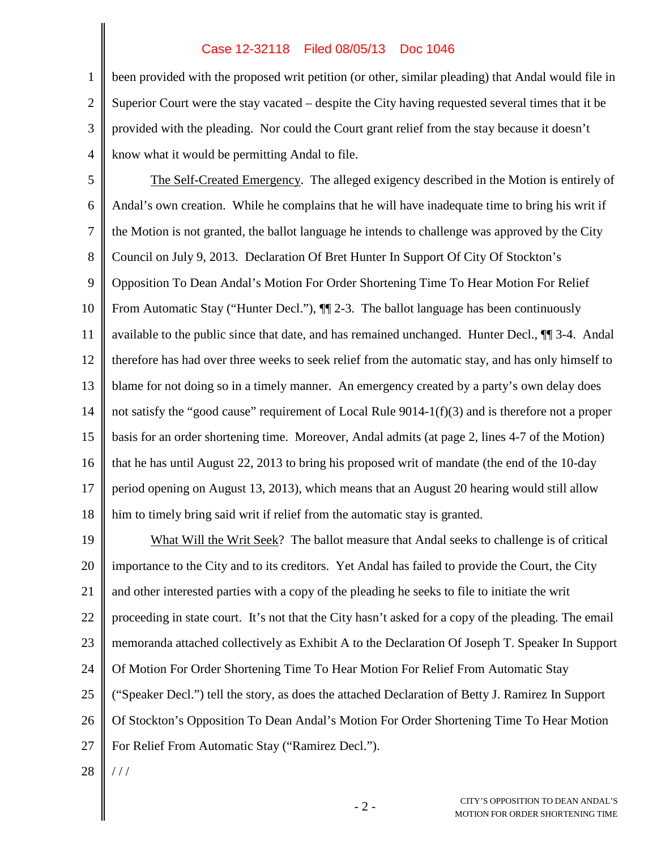## Case 12-32118 Filed 08/05/13 Doc 1046

3 4 been provided with the proposed writ petition (or other, similar pleading) that Andal would file in Superior Court were the stay vacated – despite the City having requested several times that it be provided with the pleading. Nor could the Court grant relief from the stay because it doesn't know what it would be permitting Andal to file.

5 6 7 8 9 10 11 12 13 14 15 16 17 18 The Self-Created Emergency. The alleged exigency described in the Motion is entirely of Andal's own creation. While he complains that he will have inadequate time to bring his writ if the Motion is not granted, the ballot language he intends to challenge was approved by the City Council on July 9, 2013. Declaration Of Bret Hunter In Support Of City Of Stockton's Opposition To Dean Andal's Motion For Order Shortening Time To Hear Motion For Relief From Automatic Stay ("Hunter Decl."),  $\P$  2-3. The ballot language has been continuously available to the public since that date, and has remained unchanged. Hunter Decl., ¶¶ 3-4. Andal therefore has had over three weeks to seek relief from the automatic stay, and has only himself to blame for not doing so in a timely manner. An emergency created by a party's own delay does not satisfy the "good cause" requirement of Local Rule 9014-1(f)(3) and is therefore not a proper basis for an order shortening time. Moreover, Andal admits (at page 2, lines 4-7 of the Motion) that he has until August 22, 2013 to bring his proposed writ of mandate (the end of the 10-day period opening on August 13, 2013), which means that an August 20 hearing would still allow him to timely bring said writ if relief from the automatic stay is granted.

19 20 21 22 23 24 25 26 27 What Will the Writ Seek? The ballot measure that Andal seeks to challenge is of critical importance to the City and to its creditors. Yet Andal has failed to provide the Court, the City and other interested parties with a copy of the pleading he seeks to file to initiate the writ proceeding in state court. It's not that the City hasn't asked for a copy of the pleading. The email memoranda attached collectively as Exhibit A to the Declaration Of Joseph T. Speaker In Support Of Motion For Order Shortening Time To Hear Motion For Relief From Automatic Stay ("Speaker Decl.") tell the story, as does the attached Declaration of Betty J. Ramirez In Support Of Stockton's Opposition To Dean Andal's Motion For Order Shortening Time To Hear Motion For Relief From Automatic Stay ("Ramirez Decl.").

28 / / /

1

2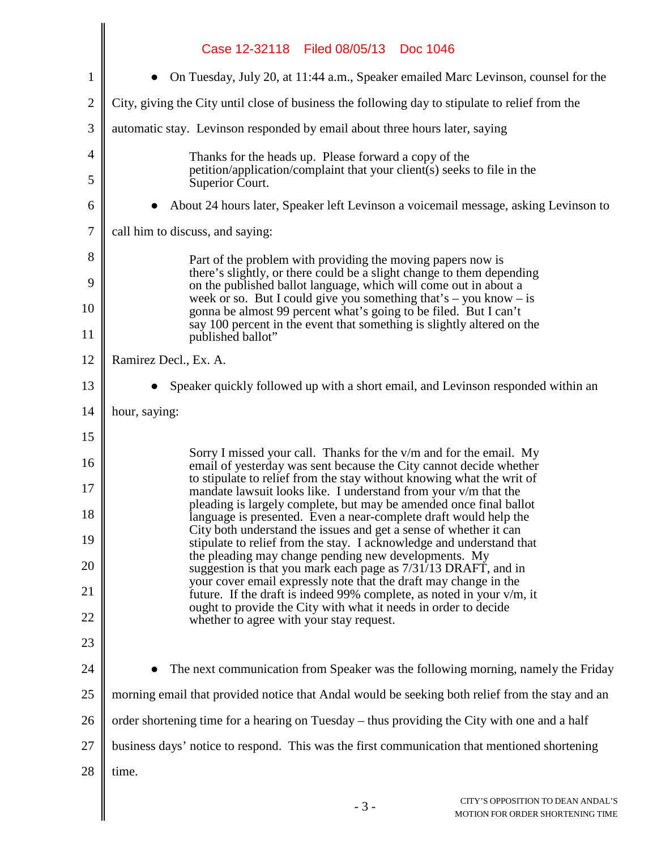|                | Case 12-32118 Filed 08/05/13 Doc 1046                                                                                                                                                                               |  |  |
|----------------|---------------------------------------------------------------------------------------------------------------------------------------------------------------------------------------------------------------------|--|--|
| 1              | On Tuesday, July 20, at 11:44 a.m., Speaker emailed Marc Levinson, counsel for the                                                                                                                                  |  |  |
| $\overline{2}$ | City, giving the City until close of business the following day to stipulate to relief from the                                                                                                                     |  |  |
| 3              | automatic stay. Levinson responded by email about three hours later, saying                                                                                                                                         |  |  |
| 4              | Thanks for the heads up. Please forward a copy of the                                                                                                                                                               |  |  |
| 5              | petition/application/complaint that your client(s) seeks to file in the<br>Superior Court.                                                                                                                          |  |  |
| 6              | About 24 hours later, Speaker left Levinson a voicemail message, asking Levinson to                                                                                                                                 |  |  |
| 7              | call him to discuss, and saying:                                                                                                                                                                                    |  |  |
| 8              | Part of the problem with providing the moving papers now is                                                                                                                                                         |  |  |
| 9              | there's slightly, or there could be a slight change to them depending<br>on the published ballot language, which will come out in about a                                                                           |  |  |
| 10             | week or so. But I could give you something that's $-$ you know $-$ is<br>gonna be almost 99 percent what's going to be filed. But I can't<br>say 100 percent in the event that something is slightly altered on the |  |  |
| 11             | published ballot"                                                                                                                                                                                                   |  |  |
| 12             | Ramirez Decl., Ex. A.                                                                                                                                                                                               |  |  |
| 13             | Speaker quickly followed up with a short email, and Levinson responded within an                                                                                                                                    |  |  |
| 14             | hour, saying:                                                                                                                                                                                                       |  |  |
| 15             | Sorry I missed your call. Thanks for the v/m and for the email. My                                                                                                                                                  |  |  |
| 16             | email of yesterday was sent because the City cannot decide whether<br>to stipulate to relief from the stay without knowing what the writ of                                                                         |  |  |
| 17             | mandate lawsuit looks like. I understand from your v/m that the<br>pleading is largely complete, but may be amended once final ballot                                                                               |  |  |
| 18             | language is presented. Even a near-complete draft would help the<br>City both understand the issues and get a sense of whether it can                                                                               |  |  |
| 19             | stipulate to relief from the stay. I acknowledge and understand that<br>the pleading may change pending new developments. My                                                                                        |  |  |
| 20             | suggestion is that you mark each page as 7/31/13 DRAFT, and in<br>your cover email expressly note that the draft may change in the                                                                                  |  |  |
| 21             | future. If the draft is indeed 99% complete, as noted in your v/m, it<br>ought to provide the City with what it needs in order to decide                                                                            |  |  |
| 22             | whether to agree with your stay request.                                                                                                                                                                            |  |  |
| 23             |                                                                                                                                                                                                                     |  |  |
| 24             | The next communication from Speaker was the following morning, namely the Friday                                                                                                                                    |  |  |
| 25             | morning email that provided notice that Andal would be seeking both relief from the stay and an                                                                                                                     |  |  |
| 26             | order shortening time for a hearing on Tuesday – thus providing the City with one and a half                                                                                                                        |  |  |
| 27             | business days' notice to respond. This was the first communication that mentioned shortening                                                                                                                        |  |  |
| 28             | time.                                                                                                                                                                                                               |  |  |
|                | CITY'S OPPOSITION TO DEAN ANDAL'S<br>$-3-$<br>MOTION FOR ORDER SHORTENING TIME                                                                                                                                      |  |  |